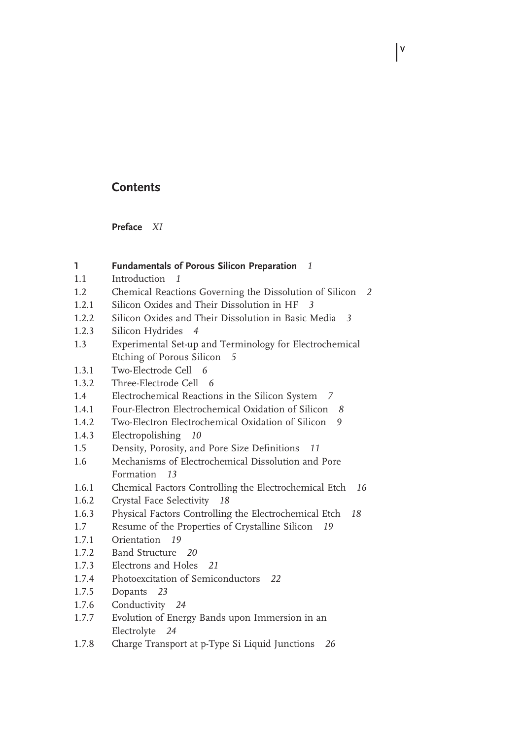## **Contents**

 **Preface** *XI*

# 1.1 Introduction *1* 1.2 Chemical Reactions Governing the Dissolution of Silicon *2* 1.2.1 Silicon Oxides and Their Dissolution in HF *3*

**1 Fundamentals of Porous Silicon Preparation** *1*

1.2.2 Silicon Oxides and Their Dissolution in Basic Media *3*

**V**

- 1.2.3 Silicon Hydrides *4*
- 1.3 Experimental Set-up and Terminology for Electrochemical Etching of Porous Silicon *5*
- 1.3.1 Two-Electrode Cell *6*
- 1.3.2 Three-Electrode Cell *6*
- 1.4 Electrochemical Reactions in the Silicon System *7*
- 1.4.1 Four-Electron Electrochemical Oxidation of Silicon *8*
- 1.4.2 Two-Electron Electrochemical Oxidation of Silicon *9*
- 1.4.3 Electropolishing *10*
- 1.5 Density, Porosity, and Pore Size Definitions 11
- 1.6 Mechanisms of Electrochemical Dissolution and Pore Formation *13*
- 1.6.1 Chemical Factors Controlling the Electrochemical Etch *16*
- 1.6.2 Crystal Face Selectivity *18*
- 1.6.3 Physical Factors Controlling the Electrochemical Etch *18*
- 1.7 Resume of the Properties of Crystalline Silicon *19*
- 1.7.1 Orientation *19*
- 1.7.2 Band Structure *20*
- 1.7.3 Electrons and Holes *21*
- 1.7.4 Photoexcitation of Semiconductors *22*
- 1.7.5 Dopants *23*
- 1.7.6 Conductivity *24*
- 1.7.7 Evolution of Energy Bands upon Immersion in an Electrolyte *24*
- 1.7.8 Charge Transport at p-Type Si Liquid Junctions *26*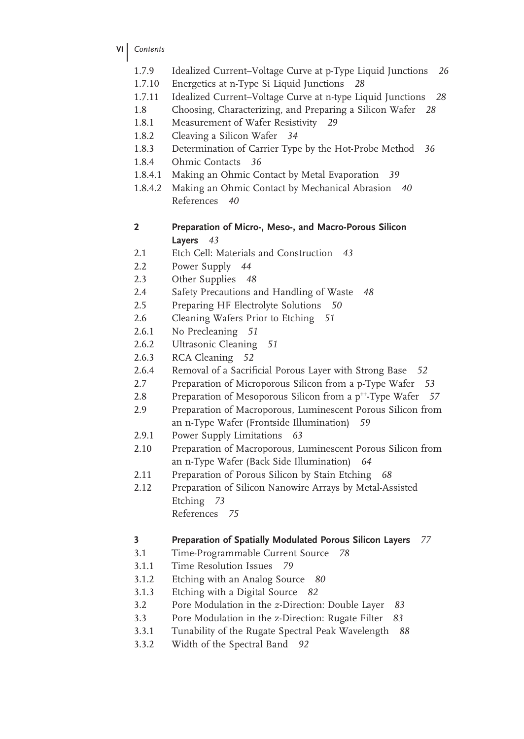- **VI** *Contents*
	- 1.7.9 Idealized Current–Voltage Curve at p-Type Liquid Junctions *26*
	- 1.7.10 Energetics at n-Type Si Liquid Junctions *28*
	- 1.7.11 Idealized Current–Voltage Curve at n-type Liquid Junctions *28*
	- 1.8 Choosing, Characterizing, and Preparing a Silicon Wafer *28*
	- 1.8.1 Measurement of Wafer Resistivity *29*
	- 1.8.2 Cleaving a Silicon Wafer *34*
	- 1.8.3 Determination of Carrier Type by the Hot-Probe Method *36*
	- 1.8.4 Ohmic Contacts *36*
	- 1.8.4.1 Making an Ohmic Contact by Metal Evaporation *39*
	- 1.8.4.2 Making an Ohmic Contact by Mechanical Abrasion *40* References *40*
	- **2 Preparation of Micro-, Meso-, and Macro-Porous Silicon Layers** *43*
	- 2.1 Etch Cell: Materials and Construction *43*
	- 2.2 Power Supply *44*
	- 2.3 Other Supplies *48*
	- 2.4 Safety Precautions and Handling of Waste *48*
	- 2.5 Preparing HF Electrolyte Solutions *50*
	- 2.6 Cleaning Wafers Prior to Etching *51*
	- 2.6.1 No Precleaning *51*
	- 2.6.2 Ultrasonic Cleaning *51*
	- 2.6.3 RCA Cleaning *52*
	- 2.6.4 Removal of a Sacrificial Porous Layer with Strong Base 52
	- 2.7 Preparation of Microporous Silicon from a p-Type Wafer *53*
	- 2.8 Preparation of Mesoporous Silicon from a p<sup>++</sup>-Type Wafer 57
	- 2.9 Preparation of Macroporous, Luminescent Porous Silicon from an n-Type Wafer (Frontside Illumination) *59*
	- 2.9.1 Power Supply Limitations *63*
	- 2.10 Preparation of Macroporous, Luminescent Porous Silicon from an n-Type Wafer (Back Side Illumination) *64*
	- 2.11 Preparation of Porous Silicon by Stain Etching *68*
	- 2.12 Preparation of Silicon Nanowire Arrays by Metal-Assisted Etching *73* References *75*

#### **3 Preparation of Spatially Modulated Porous Silicon Layers** *77*

- 3.1 Time-Programmable Current Source *78*
- 3.1.1 Time Resolution Issues *79*
- 3.1.2 Etching with an Analog Source *80*
- 3.1.3 Etching with a Digital Source *82*
- 3.2 Pore Modulation in the *z*-Direction: Double Layer *83*
- 3.3 Pore Modulation in the z-Direction: Rugate Filter *83*
- 3.3.1 Tunability of the Rugate Spectral Peak Wavelength *88*
- 3.3.2 Width of the Spectral Band *92*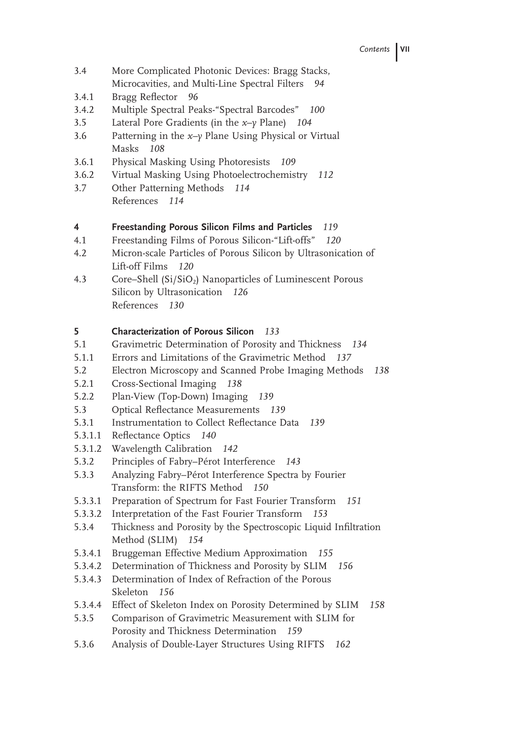- 3.4 More Complicated Photonic Devices: Bragg Stacks, Microcavities, and Multi-Line Spectral Filters *94*
- 3.4.1 Bragg Reflector 96
- 3.4.2 Multiple Spectral Peaks-"Spectral Barcodes" *100*
- 3.5 Lateral Pore Gradients (in the *x*–*y* Plane) *104*
- 3.6 Patterning in the *x–y* Plane Using Physical or Virtual Masks *108*
- 3.6.1 Physical Masking Using Photoresists *109*
- 3.6.2 Virtual Masking Using Photoelectrochemistry *112*
- 3.7 Other Patterning Methods *114* References *114*

#### **4 Freestanding Porous Silicon Films and Particles** *119*

- 4.1 Freestanding Films of Porous Silicon-"Lift-offs" *120*
- 4.2 Micron-scale Particles of Porous Silicon by Ultrasonication of Lift-off Films *120*
- 4.3 Core–Shell (Si/SiO<sub>2</sub>) Nanoparticles of Luminescent Porous Silicon by Ultrasonication *126* References *130*

#### **5 Characterization of Porous Silicon** *133*

- 5.1 Gravimetric Determination of Porosity and Thickness *134*
- 5.1.1 Errors and Limitations of the Gravimetric Method *137*
- 5.2 Electron Microscopy and Scanned Probe Imaging Methods *138*
- 5.2.1 Cross-Sectional Imaging *138*
- 5.2.2 Plan-View (Top-Down) Imaging *139*
- 5.3 Optical Reflectance Measurements 139
- 5.3.1 Instrumentation to Collect Reflectance Data 139
- 5.3.1.1 Reflectance Optics 140
- 5.3.1.2 Wavelength Calibration *142*
- 5.3.2 Principles of Fabry–Pérot Interference *143*
- 5.3.3 Analyzing Fabry–Pérot Interference Spectra by Fourier Transform: the RIFTS Method *150*
- 5.3.3.1 Preparation of Spectrum for Fast Fourier Transform *151*
- 5.3.3.2 Interpretation of the Fast Fourier Transform *153*
- 5.3.4 Thickness and Porosity by the Spectroscopic Liquid Infiltration Method (SLIM) *154*
- 5.3.4.1 Bruggeman Effective Medium Approximation *155*
- 5.3.4.2 Determination of Thickness and Porosity by SLIM *156*
- 5.3.4.3 Determination of Index of Refraction of the Porous Skeleton *156*
- 5.3.4.4 Effect of Skeleton Index on Porosity Determined by SLIM *158*
- 5.3.5 Comparison of Gravimetric Measurement with SLIM for Porosity and Thickness Determination *159*
- 5.3.6 Analysis of Double-Layer Structures Using RIFTS *162*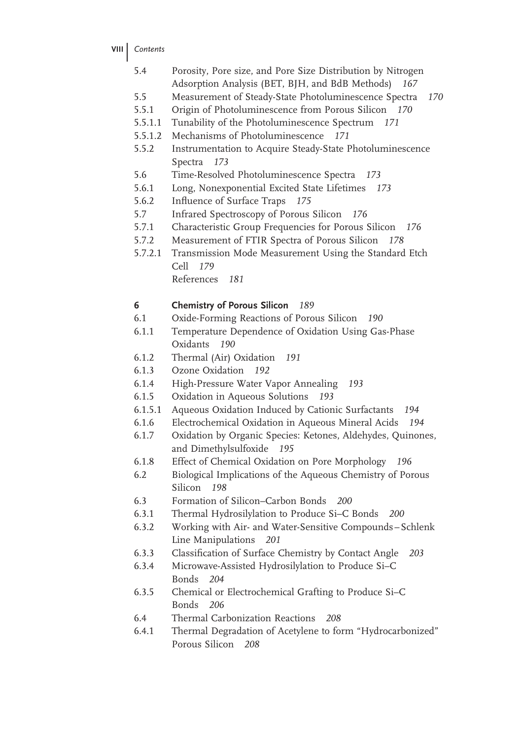- **VIII** *Contents*
	- 5.4 Porosity, Pore size, and Pore Size Distribution by Nitrogen Adsorption Analysis (BET, BJH, and BdB Methods) *167*
	- 5.5 Measurement of Steady-State Photoluminescence Spectra *170*
	- 5.5.1 Origin of Photoluminescence from Porous Silicon *170*
	- 5.5.1.1 Tunability of the Photoluminescence Spectrum *171*
	- 5.5.1.2 Mechanisms of Photoluminescence *171*
	- 5.5.2 Instrumentation to Acquire Steady-State Photoluminescence Spectra *173*
	- 5.6 Time-Resolved Photoluminescence Spectra *173*
	- 5.6.1 Long, Nonexponential Excited State Lifetimes *173*
	- 5.6.2 Influence of Surface Traps 175
	- 5.7 Infrared Spectroscopy of Porous Silicon *176*
	- 5.7.1 Characteristic Group Frequencies for Porous Silicon *176*
	- 5.7.2 Measurement of FTIR Spectra of Porous Silicon *178*
	- 5.7.2.1 Transmission Mode Measurement Using the Standard Etch Cell *179*
		- References *181*

## **6 Chemistry of Porous Silicon** *189*

- 6.1 Oxide-Forming Reactions of Porous Silicon *190*
- 6.1.1 Temperature Dependence of Oxidation Using Gas-Phase Oxidants *190*
- 6.1.2 Thermal (Air) Oxidation *191*
- 6.1.3 Ozone Oxidation *192*
- 6.1.4 High-Pressure Water Vapor Annealing *193*
- 6.1.5 Oxidation in Aqueous Solutions *193*
- 6.1.5.1 Aqueous Oxidation Induced by Cationic Surfactants *194*
- 6.1.6 Electrochemical Oxidation in Aqueous Mineral Acids *194*
- 6.1.7 Oxidation by Organic Species: Ketones, Aldehydes, Quinones, and Dimethylsulfoxide *195*
- 6.1.8 Effect of Chemical Oxidation on Pore Morphology *196*
- 6.2 Biological Implications of the Aqueous Chemistry of Porous Silicon *198*
- 6.3 Formation of Silicon–Carbon Bonds *200*
- 6.3.1 Thermal Hydrosilylation to Produce Si–C Bonds *200*
- 6.3.2 Working with Air- and Water-Sensitive Compounds Schlenk Line Manipulations *201*
- 6.3.3 Classification of Surface Chemistry by Contact Angle 203
- 6.3.4 Microwave-Assisted Hydrosilylation to Produce Si–C Bonds *204*
- 6.3.5 Chemical or Electrochemical Grafting to Produce Si–C Bonds *206*
- 6.4 Thermal Carbonization Reactions *208*
- 6.4.1 Thermal Degradation of Acetylene to form "Hydrocarbonized" Porous Silicon *208*